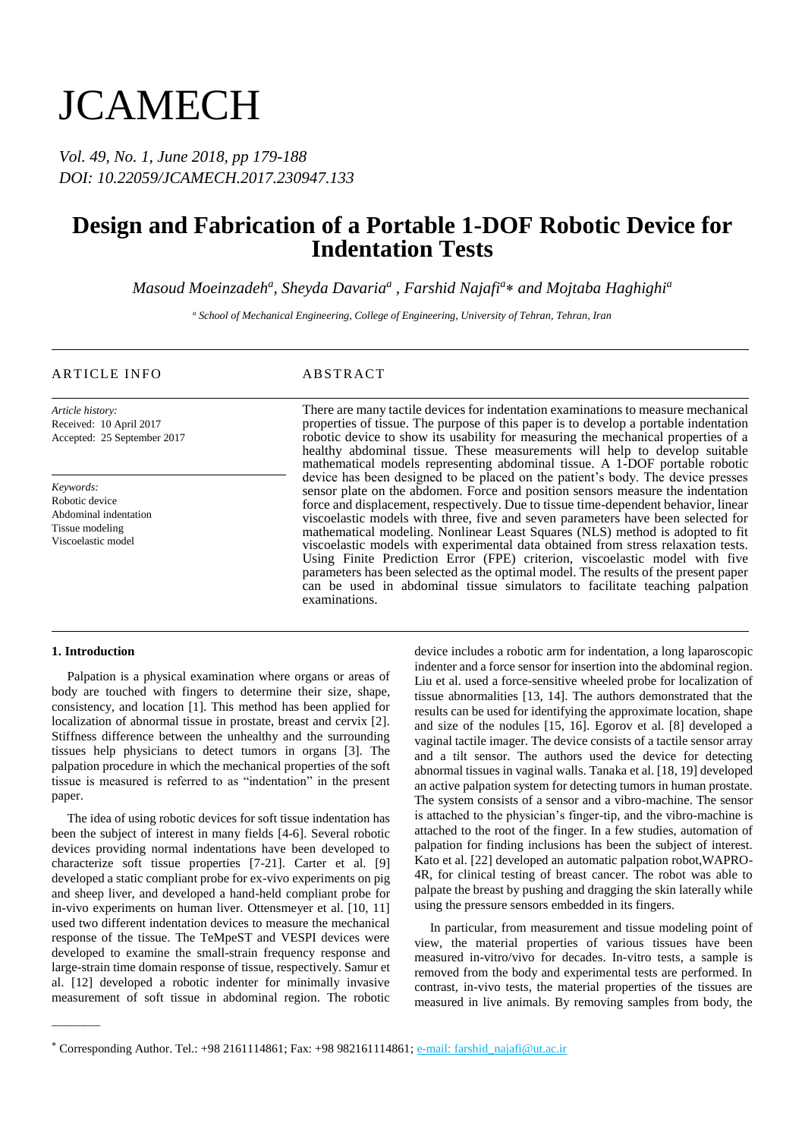# **JCAMECH**

*Vol. 49, No. 1, June 2018, pp 179-188 DOI: 10.22059/JCAMECH.2017.230947.133*

## **Design and Fabrication of a Portable 1-DOF Robotic Device for Indentation Tests**

 $M$ asoud Moeinzadeh<sup>a</sup>, Sheyda Davaria<sup>a</sup> , Farshid Najafi<sup>a</sup> $\ast$  and Mojtaba Haghighi<sup>a</sup>

*<sup>a</sup> School of Mechanical Engineering, College of Engineering, University of Tehran, Tehran, Iran*

### ARTICLE INFO ABSTRACT

*Article history:* Received: 10 April 2017 Accepted: 25 September 2017

*Keywords:* Robotic device Abdominal indentation Tissue modeling Viscoelastic model

There are many tactile devices for indentation examinations to measure mechanical properties of tissue. The purpose of this paper is to develop a portable indentation robotic device to show its usability for measuring the mechanical properties of a healthy abdominal tissue. These measurements will help to develop suitable mathematical models representing abdominal tissue. A 1-DOF portable robotic device has been designed to be placed on the patient's body. The device presses sensor plate on the abdomen. Force and position sensors measure the indentation force and displacement, respectively. Due to tissue time-dependent behavior, linear viscoelastic models with three, five and seven parameters have been selected for mathematical modeling. Nonlinear Least Squares (NLS) method is adopted to fit viscoelastic models with experimental data obtained from stress relaxation tests. Using Finite Prediction Error (FPE) criterion, viscoelastic model with five parameters has been selected as the optimal model. The results of the present paper can be used in abdominal tissue simulators to facilitate teaching palpation examinations.

#### **1. Introduction**

———

Palpation is a physical examination where organs or areas of body are touched with fingers to determine their size, shape, consistency, and location [1]. This method has been applied for localization of abnormal tissue in prostate, breast and cervix [2]. Stiffness difference between the unhealthy and the surrounding tissues help physicians to detect tumors in organs [3]. The palpation procedure in which the mechanical properties of the soft tissue is measured is referred to as "indentation" in the present paper.

The idea of using robotic devices for soft tissue indentation has been the subject of interest in many fields [4-6]. Several robotic devices providing normal indentations have been developed to characterize soft tissue properties [7-21]. Carter et al. [9] developed a static compliant probe for ex-vivo experiments on pig and sheep liver, and developed a hand-held compliant probe for in-vivo experiments on human liver. Ottensmeyer et al. [10, 11] used two different indentation devices to measure the mechanical response of the tissue. The TeMpeST and VESPI devices were developed to examine the small-strain frequency response and large-strain time domain response of tissue, respectively. Samur et al. [12] developed a robotic indenter for minimally invasive measurement of soft tissue in abdominal region. The robotic

device includes a robotic arm for indentation, a long laparoscopic indenter and a force sensor for insertion into the abdominal region. Liu et al. used a force-sensitive wheeled probe for localization of tissue abnormalities [13, 14]. The authors demonstrated that the results can be used for identifying the approximate location, shape and size of the nodules [15, 16]. Egorov et al. [8] developed a vaginal tactile imager. The device consists of a tactile sensor array and a tilt sensor. The authors used the device for detecting abnormal tissues in vaginal walls. Tanaka et al. [18, 19] developed an active palpation system for detecting tumors in human prostate. The system consists of a sensor and a vibro-machine. The sensor is attached to the physician's finger-tip, and the vibro-machine is attached to the root of the finger. In a few studies, automation of palpation for finding inclusions has been the subject of interest. Kato et al. [22] developed an automatic palpation robot,WAPRO-4R, for clinical testing of breast cancer. The robot was able to palpate the breast by pushing and dragging the skin laterally while using the pressure sensors embedded in its fingers.

In particular, from measurement and tissue modeling point of view, the material properties of various tissues have been measured in-vitro/vivo for decades. In-vitro tests, a sample is removed from the body and experimental tests are performed. In contrast, in-vivo tests, the material properties of the tissues are measured in live animals. By removing samples from body, the

<sup>\*</sup> Corresponding Author. Tel.: +98 2161114861; Fax: +98 982161114861; e-mail: farshid\_najafi@ut.ac.ir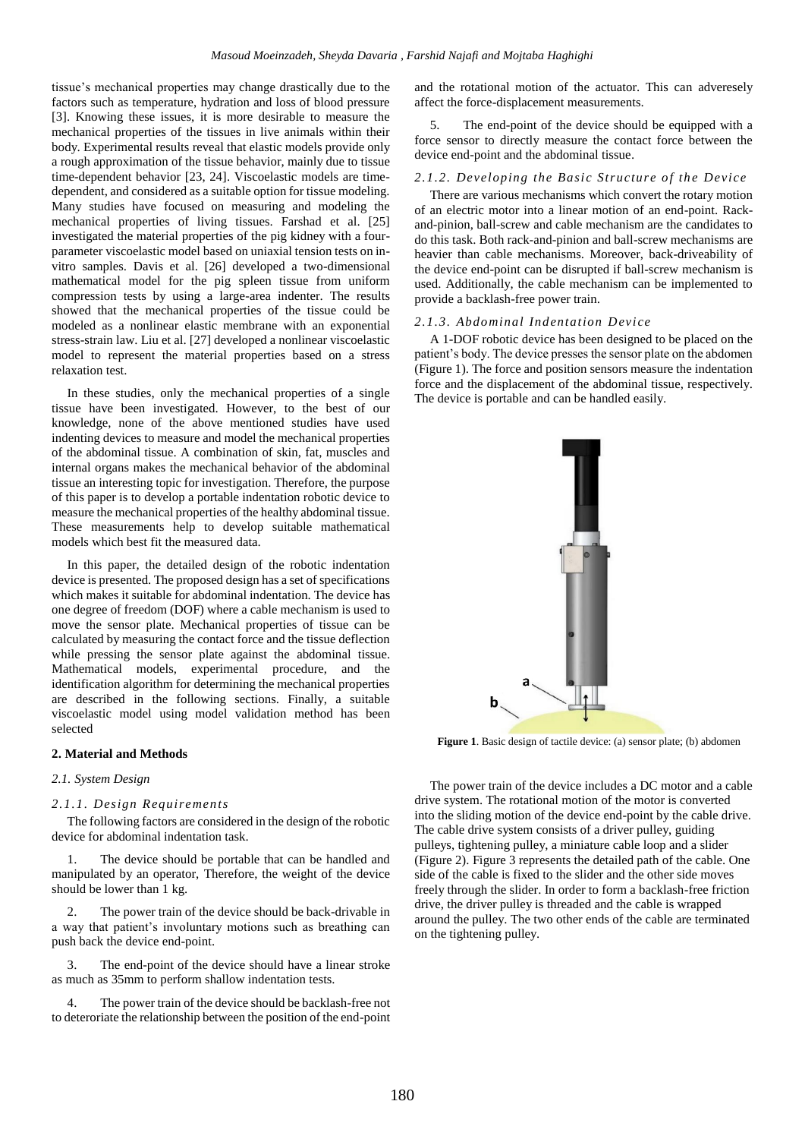tissue's mechanical properties may change drastically due to the factors such as temperature, hydration and loss of blood pressure [3]. Knowing these issues, it is more desirable to measure the mechanical properties of the tissues in live animals within their body. Experimental results reveal that elastic models provide only a rough approximation of the tissue behavior, mainly due to tissue time-dependent behavior [23, 24]. Viscoelastic models are timedependent, and considered as a suitable option for tissue modeling. Many studies have focused on measuring and modeling the mechanical properties of living tissues. Farshad et al. [25] investigated the material properties of the pig kidney with a fourparameter viscoelastic model based on uniaxial tension tests on invitro samples. Davis et al. [26] developed a two-dimensional mathematical model for the pig spleen tissue from uniform compression tests by using a large-area indenter. The results showed that the mechanical properties of the tissue could be modeled as a nonlinear elastic membrane with an exponential stress-strain law. Liu et al. [27] developed a nonlinear viscoelastic model to represent the material properties based on a stress relaxation test.

In these studies, only the mechanical properties of a single tissue have been investigated. However, to the best of our knowledge, none of the above mentioned studies have used indenting devices to measure and model the mechanical properties of the abdominal tissue. A combination of skin, fat, muscles and internal organs makes the mechanical behavior of the abdominal tissue an interesting topic for investigation. Therefore, the purpose of this paper is to develop a portable indentation robotic device to measure the mechanical properties of the healthy abdominal tissue. These measurements help to develop suitable mathematical models which best fit the measured data.

In this paper, the detailed design of the robotic indentation device is presented. The proposed design has a set of specifications which makes it suitable for abdominal indentation. The device has one degree of freedom (DOF) where a cable mechanism is used to move the sensor plate. Mechanical properties of tissue can be calculated by measuring the contact force and the tissue deflection while pressing the sensor plate against the abdominal tissue. Mathematical models, experimental procedure, and the identification algorithm for determining the mechanical properties are described in the following sections. Finally, a suitable viscoelastic model using model validation method has been selected

#### **2. Material and Methods**

#### *2.1. System Design*

#### *2.1.1. Design Requirements*

The following factors are considered in the design of the robotic device for abdominal indentation task.

1. The device should be portable that can be handled and manipulated by an operator, Therefore, the weight of the device should be lower than 1 kg.

2. The power train of the device should be back-drivable in a way that patient's involuntary motions such as breathing can push back the device end-point.

3. The end-point of the device should have a linear stroke as much as 35mm to perform shallow indentation tests.

4. The power train of the device should be backlash-free not to deteroriate the relationship between the position of the end-point

and the rotational motion of the actuator. This can adveresely affect the force-displacement measurements.

5. The end-point of the device should be equipped with a force sensor to directly measure the contact force between the device end-point and the abdominal tissue.

#### 2.1.2. Developing the Basic Structure of the Device

There are various mechanisms which convert the rotary motion of an electric motor into a linear motion of an end-point. Rackand-pinion, ball-screw and cable mechanism are the candidates to do this task. Both rack-and-pinion and ball-screw mechanisms are heavier than cable mechanisms. Moreover, back-driveability of the device end-point can be disrupted if ball-screw mechanism is used. Additionally, the cable mechanism can be implemented to provide a backlash-free power train.

#### *2.1.3. Abdominal Indentation Device*

A 1-DOF robotic device has been designed to be placed on the patient's body. The device presses the sensor plate on the abdomen (Figure 1). The force and position sensors measure the indentation force and the displacement of the abdominal tissue, respectively. The device is portable and can be handled easily.



**Figure 1**. Basic design of tactile device: (a) sensor plate; (b) abdomen

The power train of the device includes a DC motor and a cable drive system. The rotational motion of the motor is converted into the sliding motion of the device end-point by the cable drive. The cable drive system consists of a driver pulley, guiding pulleys, tightening pulley, a miniature cable loop and a slider (Figure 2). Figure 3 represents the detailed path of the cable. One side of the cable is fixed to the slider and the other side moves freely through the slider. In order to form a backlash-free friction drive, the driver pulley is threaded and the cable is wrapped around the pulley. The two other ends of the cable are terminated on the tightening pulley.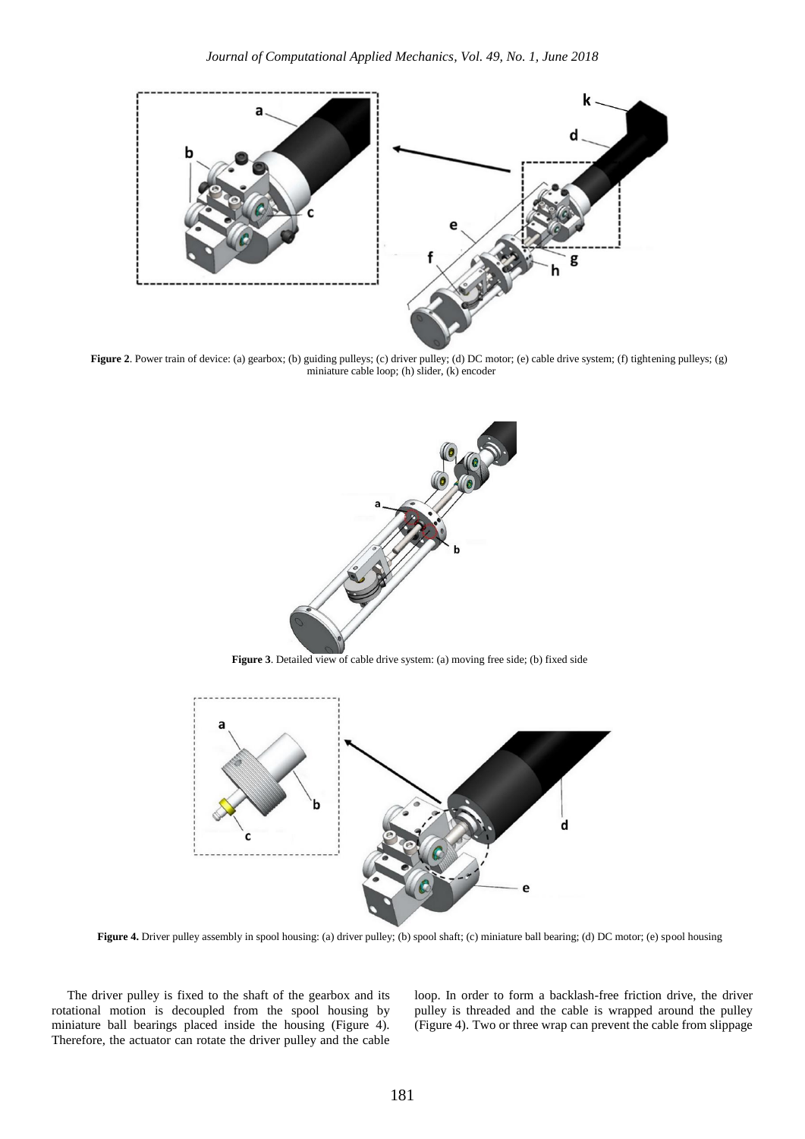

**Figure 2**. Power train of device: (a) gearbox; (b) guiding pulleys; (c) driver pulley; (d) DC motor; (e) cable drive system; (f) tightening pulleys; (g) miniature cable loop; (h) slider, (k) encoder



Figure 3. Detailed view of cable drive system: (a) moving free side; (b) fixed side



**Figure 4.** Driver pulley assembly in spool housing: (a) driver pulley; (b) spool shaft; (c) miniature ball bearing; (d) DC motor; (e) spool housing

The driver pulley is fixed to the shaft of the gearbox and its rotational motion is decoupled from the spool housing by miniature ball bearings placed inside the housing (Figure 4). Therefore, the actuator can rotate the driver pulley and the cable

loop. In order to form a backlash-free friction drive, the driver pulley is threaded and the cable is wrapped around the pulley (Figure 4). Two or three wrap can prevent the cable from slippage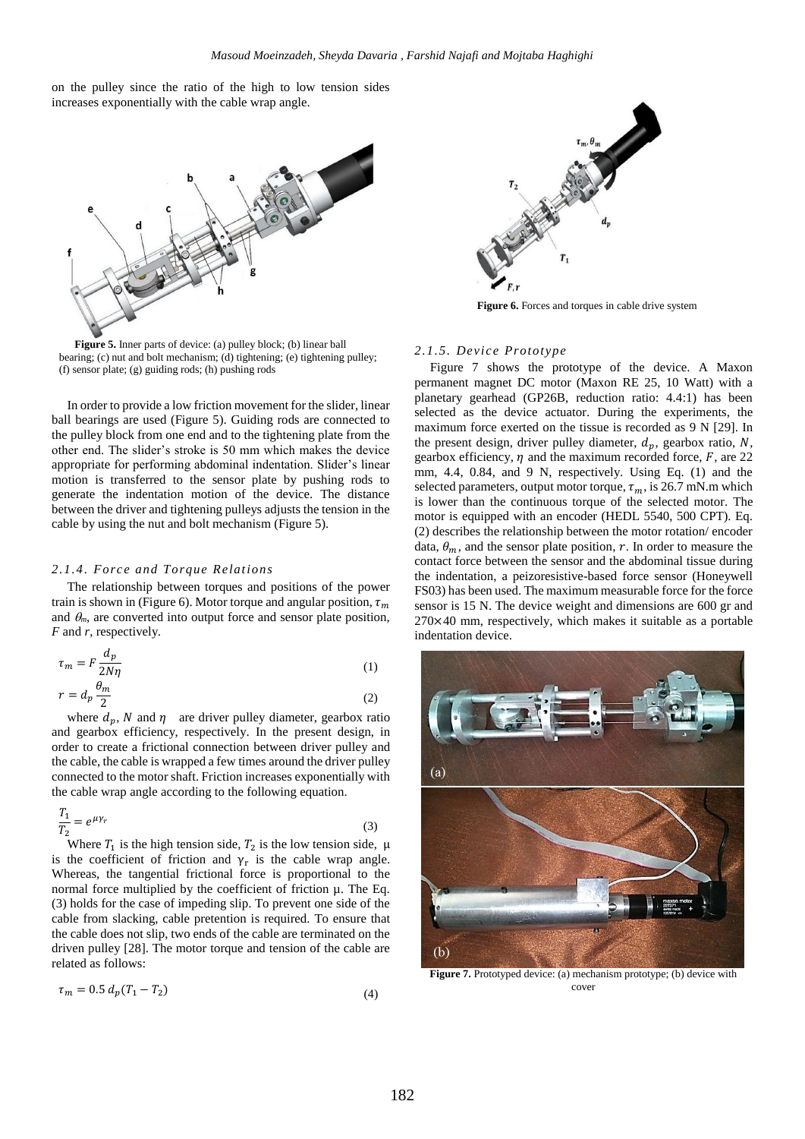on the pulley since the ratio of the high to low tension sides increases exponentially with the cable wrap angle.



**Figure 5.** Inner parts of device: (a) pulley block; (b) linear ball bearing; (c) nut and bolt mechanism; (d) tightening; (e) tightening pulley; (f) sensor plate; (g) guiding rods; (h) pushing rods

In order to provide a low friction movement for the slider, linear ball bearings are used (Figure 5). Guiding rods are connected to the pulley block from one end and to the tightening plate from the other end. The slider's stroke is 50 mm which makes the device appropriate for performing abdominal indentation. Slider's linear motion is transferred to the sensor plate by pushing rods to generate the indentation motion of the device. The distance between the driver and tightening pulleys adjusts the tension in the cable by using the nut and bolt mechanism (Figure 5).

#### *2.1.4. Force and Torque Relations*

The relationship between torques and positions of the power train is shown in (Figure 6). Motor torque and angular position,  $\tau_m$ and  $\theta_m$ , are converted into output force and sensor plate position, *F* and *r*, respectively.

$$
\tau_m = F \frac{d_p}{2N\eta} \tag{1}
$$

$$
r = d_p \frac{\theta_m}{2} \tag{2}
$$

where  $d_n$ , N and  $\eta$  are driver pulley diameter, gearbox ratio and gearbox efficiency, respectively. In the present design, in order to create a frictional connection between driver pulley and the cable, the cable is wrapped a few times around the driver pulley connected to the motor shaft. Friction increases exponentially with the cable wrap angle according to the following equation.

$$
\frac{T_1}{T_2} = e^{\mu \gamma_r} \tag{3}
$$

Where  $T_1$  is the high tension side,  $T_2$  is the low tension side,  $\mu$ is the coefficient of friction and  $\gamma_r$  is the cable wrap angle. Whereas, the tangential frictional force is proportional to the normal force multiplied by the coefficient of friction  $\mu$ . The Eq. (3) holds for the case of impeding slip. To prevent one side of the cable from slacking, cable pretention is required. To ensure that the cable does not slip, two ends of the cable are terminated on the driven pulley [28]. The motor torque and tension of the cable are related as follows:

$$
\tau_m = 0.5 \, d_p (T_1 - T_2) \tag{4}
$$



**Figure 6.** Forces and torques in cable drive system

#### *2.1.5. Device Prototype*

Figure 7 shows the prototype of the device. A Maxon permanent magnet DC motor (Maxon RE 25, 10 Watt) with a planetary gearhead (GP26B, reduction ratio: 4.4:1) has been selected as the device actuator. During the experiments, the maximum force exerted on the tissue is recorded as 9 N [29]. In the present design, driver pulley diameter,  $d_n$ , gearbox ratio, N, gearbox efficiency,  $\eta$  and the maximum recorded force,  $F$ , are 22 mm, 4.4, 0.84, and 9 N, respectively. Using Eq. (1) and the selected parameters, output motor torque,  $\tau_m$ , is 26.7 mN.m which is lower than the continuous torque of the selected motor. The motor is equipped with an encoder (HEDL 5540, 500 CPT). Eq. (2) describes the relationship between the motor rotation/ encoder data,  $\theta_m$ , and the sensor plate position, r. In order to measure the contact force between the sensor and the abdominal tissue during the indentation, a peizoresistive-based force sensor (Honeywell FS03) has been used. The maximum measurable force for the force sensor is 15 N. The device weight and dimensions are 600 gr and 270×40 mm, respectively, which makes it suitable as a portable indentation device.



Figure 7. Prototyped device: (a) mechanism prototype; (b) device with cover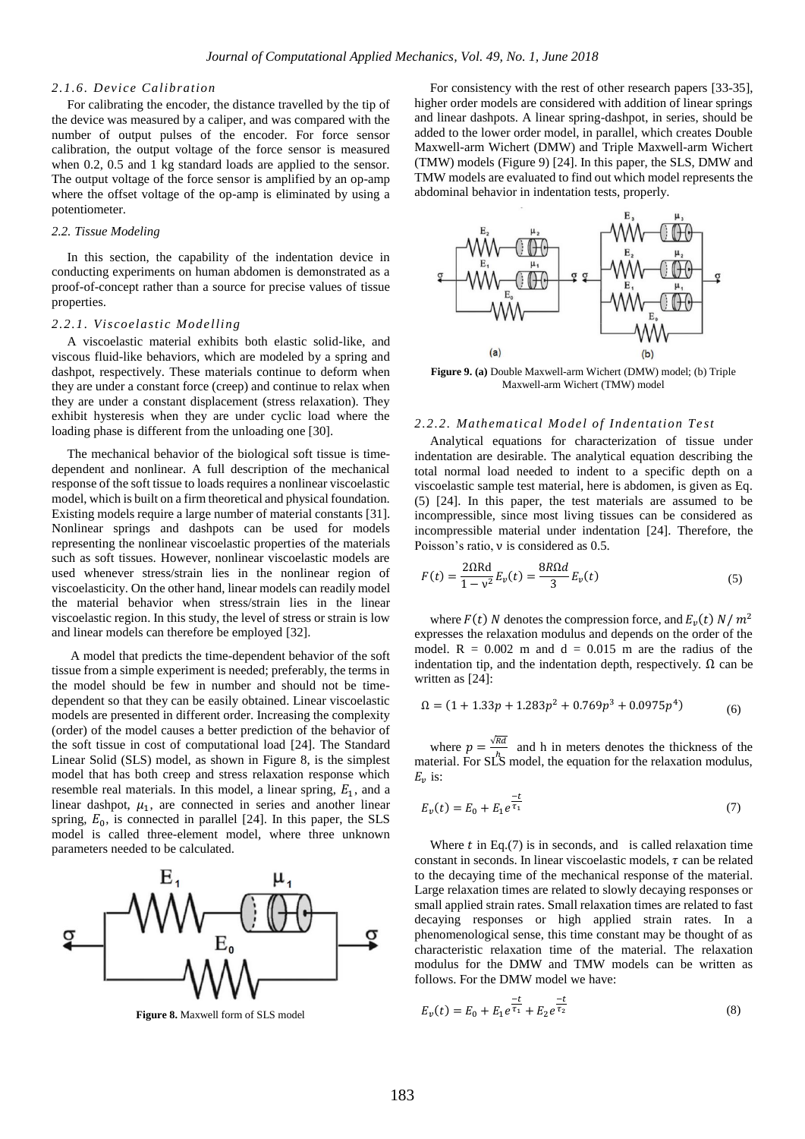#### *2.1.6. Device Calibration*

For calibrating the encoder, the distance travelled by the tip of the device was measured by a caliper, and was compared with the number of output pulses of the encoder. For force sensor calibration, the output voltage of the force sensor is measured when 0.2, 0.5 and 1 kg standard loads are applied to the sensor. The output voltage of the force sensor is amplified by an op-amp where the offset voltage of the op-amp is eliminated by using a potentiometer.

#### *2.2. Tissue Modeling*

In this section, the capability of the indentation device in conducting experiments on human abdomen is demonstrated as a proof-of-concept rather than a source for precise values of tissue properties.

#### *2.2.1. Viscoelastic Modelling*

A viscoelastic material exhibits both elastic solid-like, and viscous fluid-like behaviors, which are modeled by a spring and dashpot, respectively. These materials continue to deform when they are under a constant force (creep) and continue to relax when they are under a constant displacement (stress relaxation). They exhibit hysteresis when they are under cyclic load where the loading phase is different from the unloading one [30].

The mechanical behavior of the biological soft tissue is timedependent and nonlinear. A full description of the mechanical response of the soft tissue to loads requires a nonlinear viscoelastic model, which is built on a firm theoretical and physical foundation. Existing models require a large number of material constants [31]. Nonlinear springs and dashpots can be used for models representing the nonlinear viscoelastic properties of the materials such as soft tissues. However, nonlinear viscoelastic models are used whenever stress/strain lies in the nonlinear region of viscoelasticity. On the other hand, linear models can readily model the material behavior when stress/strain lies in the linear viscoelastic region. In this study, the level of stress or strain is low and linear models can therefore be employed [32].

A model that predicts the time-dependent behavior of the soft tissue from a simple experiment is needed; preferably, the terms in the model should be few in number and should not be timedependent so that they can be easily obtained. Linear viscoelastic models are presented in different order. Increasing the complexity (order) of the model causes a better prediction of the behavior of the soft tissue in cost of computational load [24]. The Standard Linear Solid (SLS) model, as shown in Figure 8, is the simplest model that has both creep and stress relaxation response which resemble real materials. In this model, a linear spring,  $E_1$ , and a linear dashpot,  $\mu_1$ , are connected in series and another linear spring,  $E_0$ , is connected in parallel [24]. In this paper, the SLS model is called three-element model, where three unknown parameters needed to be calculated.



**Figure 8.** Maxwell form of SLS model

For consistency with the rest of other research papers [33-35], higher order models are considered with addition of linear springs and linear dashpots. A linear spring-dashpot, in series, should be added to the lower order model, in parallel, which creates Double Maxwell-arm Wichert (DMW) and Triple Maxwell-arm Wichert (TMW) models (Figure 9) [24]. In this paper, the SLS, DMW and TMW models are evaluated to find out which model represents the abdominal behavior in indentation tests, properly.



**Figure 9. (a)** Double Maxwell-arm Wichert (DMW) model; (b) Triple Maxwell-arm Wichert (TMW) model

#### *2.2.2. Mathematical Model of Indentation Te st*

Analytical equations for characterization of tissue under indentation are desirable. The analytical equation describing the total normal load needed to indent to a specific depth on a viscoelastic sample test material, here is abdomen, is given as Eq. (5) [24]. In this paper, the test materials are assumed to be incompressible, since most living tissues can be considered as incompressible material under indentation [24]. Therefore, the Poisson's ratio, ν is considered as 0.5.

$$
F(t) = \frac{20Rd}{1 - v^2} E_v(t) = \frac{8R\Omega d}{3} E_v(t)
$$
 (5)

where  $F(t)$  N denotes the compression force, and  $E_v(t)$  N/m<sup>2</sup> expresses the relaxation modulus and depends on the order of the model.  $R = 0.002$  m and  $d = 0.015$  m are the radius of the indentation tip, and the indentation depth, respectively.  $\Omega$  can be written as [24]:

$$
\Omega = (1 + 1.33p + 1.283p^2 + 0.769p^3 + 0.0975p^4) \tag{6}
$$

where  $p = \frac{\sqrt{Rd}}{h}$  and h in meters denotes the thickness of the  $\lim_{h \to \infty} \frac{h}{h}$  model, the equation for the relaxation modulus,  $E_v$  is:

$$
E_{\nu}(t) = E_0 + E_1 e^{\frac{-t}{\tau_1}}
$$
\n(7)

Where  $t$  in Eq.(7) is in seconds, and is called relaxation time constant in seconds. In linear viscoelastic models,  $\tau$  can be related to the decaying time of the mechanical response of the material. Large relaxation times are related to slowly decaying responses or small applied strain rates. Small relaxation times are related to fast decaying responses or high applied strain rates. In a phenomenological sense, this time constant may be thought of as characteristic relaxation time of the material. The relaxation modulus for the DMW and TMW models can be written as follows. For the DMW model we have:

$$
E_{\nu}(t) = E_0 + E_1 e^{\frac{-t}{\tau_1}} + E_2 e^{\frac{-t}{\tau_2}}
$$
\n(8)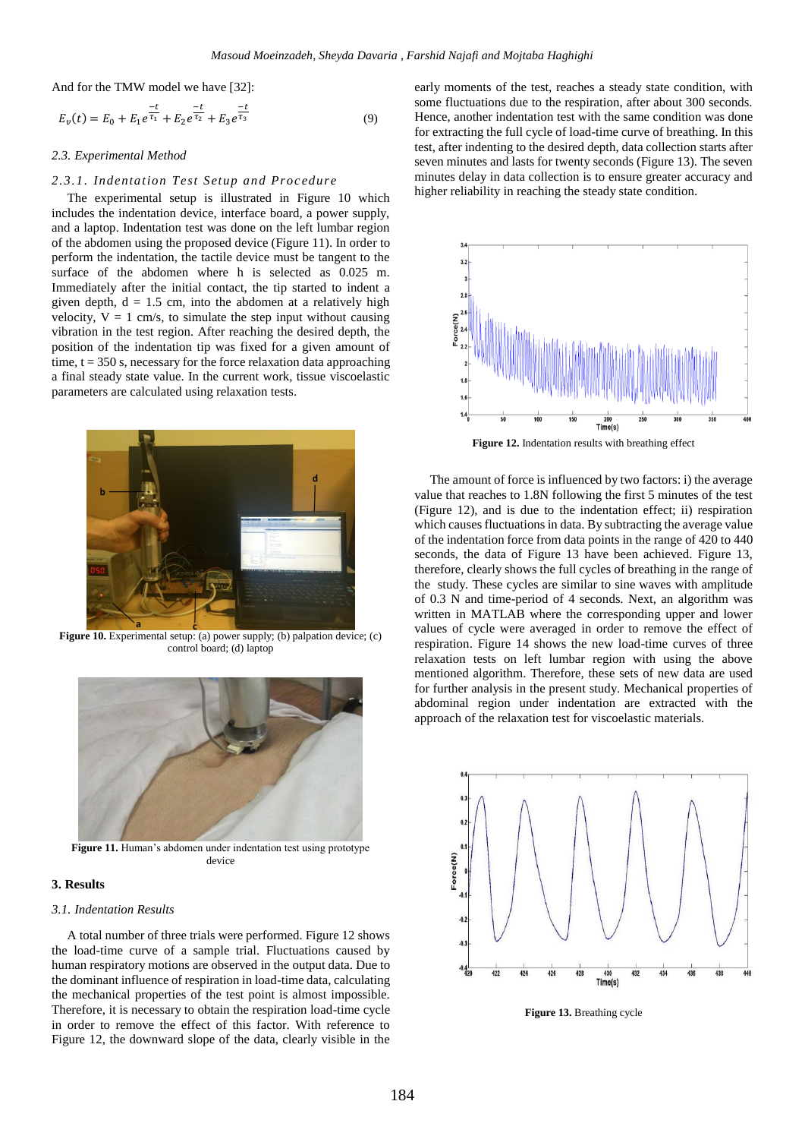And for the TMW model we have [32]:

$$
E_{\nu}(t) = E_0 + E_1 e^{\frac{-t}{\tau_1}} + E_2 e^{\frac{-t}{\tau_2}} + E_3 e^{\frac{-t}{\tau_3}}
$$
(9)

#### *2.3. Experimental Method*

#### *2.3.1. Indentation Test Setup and Proc edure*

The experimental setup is illustrated in Figure 10 which includes the indentation device, interface board, a power supply, and a laptop. Indentation test was done on the left lumbar region of the abdomen using the proposed device (Figure 11). In order to perform the indentation, the tactile device must be tangent to the surface of the abdomen where h is selected as 0.025 m. Immediately after the initial contact, the tip started to indent a given depth,  $d = 1.5$  cm, into the abdomen at a relatively high velocity,  $V = 1$  cm/s, to simulate the step input without causing vibration in the test region. After reaching the desired depth, the position of the indentation tip was fixed for a given amount of time,  $t = 350$  s, necessary for the force relaxation data approaching a final steady state value. In the current work, tissue viscoelastic parameters are calculated using relaxation tests.



**Figure 10.** Experimental setup: (a) power supply; (b) palpation device; (c) control board; (d) laptop



**Figure 11.** Human's abdomen under indentation test using prototype device

#### **3. Results**

#### *3.1. Indentation Results*

A total number of three trials were performed. Figure 12 shows the load-time curve of a sample trial. Fluctuations caused by human respiratory motions are observed in the output data. Due to the dominant influence of respiration in load-time data, calculating the mechanical properties of the test point is almost impossible. Therefore, it is necessary to obtain the respiration load-time cycle in order to remove the effect of this factor. With reference to Figure 12, the downward slope of the data, clearly visible in the

early moments of the test, reaches a steady state condition, with some fluctuations due to the respiration, after about 300 seconds. Hence, another indentation test with the same condition was done for extracting the full cycle of load-time curve of breathing. In this test, after indenting to the desired depth, data collection starts after seven minutes and lasts for twenty seconds (Figure 13). The seven minutes delay in data collection is to ensure greater accuracy and higher reliability in reaching the steady state condition.



**Figure 12.** Indentation results with breathing effect

The amount of force is influenced by two factors: i) the average value that reaches to 1.8N following the first 5 minutes of the test (Figure 12), and is due to the indentation effect; ii) respiration which causes fluctuations in data. By subtracting the average value of the indentation force from data points in the range of 420 to 440 seconds, the data of Figure 13 have been achieved. Figure 13, therefore, clearly shows the full cycles of breathing in the range of the study. These cycles are similar to sine waves with amplitude of 0.3 N and time-period of 4 seconds. Next, an algorithm was written in MATLAB where the corresponding upper and lower values of cycle were averaged in order to remove the effect of respiration. Figure 14 shows the new load-time curves of three relaxation tests on left lumbar region with using the above mentioned algorithm. Therefore, these sets of new data are used for further analysis in the present study. Mechanical properties of abdominal region under indentation are extracted with the approach of the relaxation test for viscoelastic materials.



**Figure 13.** Breathing cycle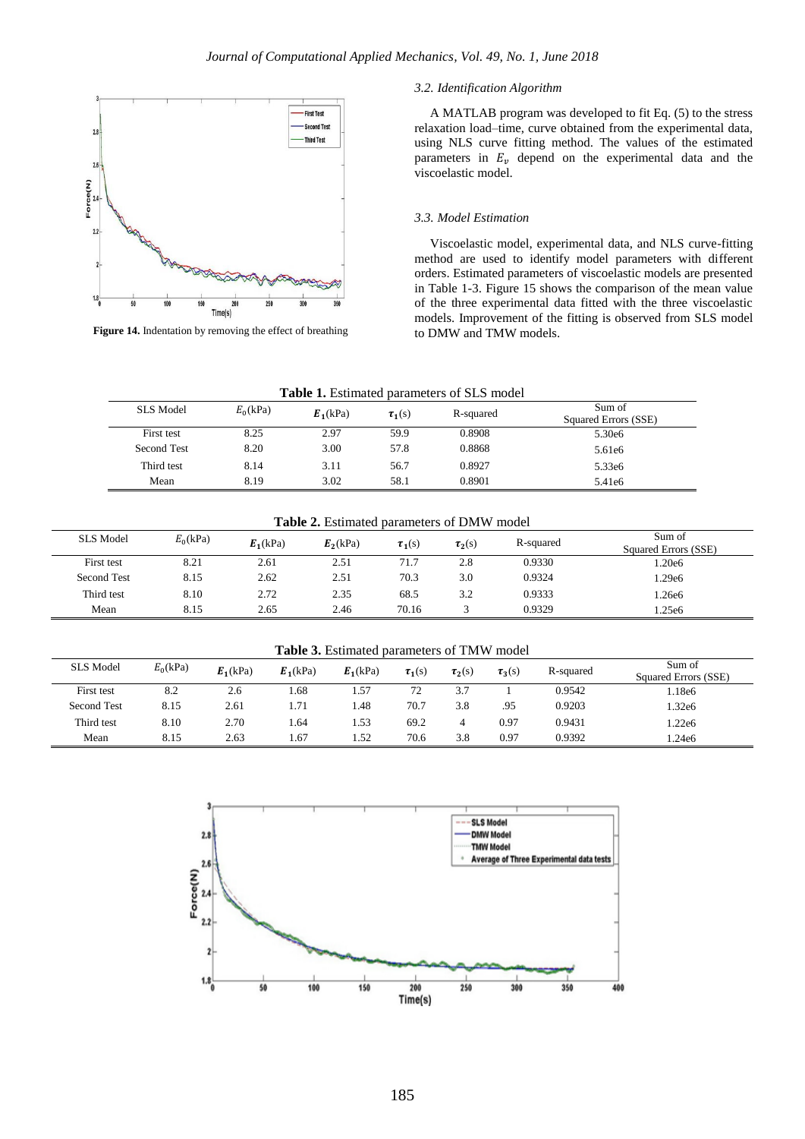

Figure 14. Indentation by removing the effect of breathing

#### *3.2. Identification Algorithm*

A MATLAB program was developed to fit Eq. (5) to the stress relaxation load–time, curve obtained from the experimental data, using NLS curve fitting method. The values of the estimated parameters in  $E<sub>v</sub>$  depend on the experimental data and the viscoelastic model.

### *3.3. Model Estimation*

Viscoelastic model, experimental data, and NLS curve-fitting method are used to identify model parameters with different orders. Estimated parameters of viscoelastic models are presented in Table 1-3. Figure 15 shows the comparison of the mean value of the three experimental data fitted with the three viscoelastic models. Improvement of the fitting is observed from SLS model to DMW and TMW models.

| <b>Table 1.</b> Estimated parameters of SLS model |            |            |             |           |                                |  |  |
|---------------------------------------------------|------------|------------|-------------|-----------|--------------------------------|--|--|
| SLS Model                                         | $E_0(kPa)$ | $E_1(kPa)$ | $\tau_1(s)$ | R-squared | Sum of<br>Squared Errors (SSE) |  |  |
| First test                                        | 8.25       | 2.97       | 59.9        | 0.8908    | 5.30e6                         |  |  |
| Second Test                                       | 8.20       | 3.00       | 57.8        | 0.8868    | 5.61e6                         |  |  |
| Third test                                        | 8.14       | 3.11       | 56.7        | 0.8927    | 5.33e <sub>6</sub>             |  |  |
| Mean                                              | 8.19       | 3.02       | 58.1        | 0.8901    | 5.41e <sub>6</sub>             |  |  |

**Table 2.** Estimated parameters of DMW model

| SLS Model   | $E_0(kPa)$ | $E_1(kPa)$ | $E_2(kPa)$ | $\tau_1(s)$ | $\tau_2(s)$ | R-squared | Sum of<br>Squared Errors (SSE) |
|-------------|------------|------------|------------|-------------|-------------|-----------|--------------------------------|
| First test  | 8.21       | 2.61       | 2.51       | 71.7        | 2.8         | 0.9330    | .20e6                          |
| Second Test | 8.15       | 2.62       | 2.51       | 70.3        | 3.0         | 0.9324    | .29e6                          |
| Third test  | 8.10       | 2.72       | 2.35       | 68.5        | 3.2         | 0.9333    | .26e6                          |
| Mean        | 8.15       | 2.65       | 2.46       | 70.16       |             | 0.9329    | .25e6                          |

**Table 3.** Estimated parameters of TMW model

| SLS Model   | $E_0(kPa)$ | $E_1(kPa)$ | $E_1(kPa)$ | $E_1(kPa)$ | $\tau_1(s)$ | $\tau_2(s)$ | $\tau_3(s)$ | R-squared | Sum of<br>Squared Errors (SSE) |
|-------------|------------|------------|------------|------------|-------------|-------------|-------------|-----------|--------------------------------|
| First test  | 8.2        | 2.6        | l.68       | . .57      | 72<br>ت ا   | 37<br>،     |             | 0.9542    | l.18e6                         |
| Second Test | 8.15       | 2.61       | 1.71       | l.48       | 70.7        | 3.8         | .95         | 0.9203    | 1.32e6                         |
| Third test  | 8.10       | 2.70       | .64        | .53        | 69.2        |             | 0.97        | 0.9431    | l.22e6                         |
| Mean        | 8.15       | 2.63       | 1.67       | 1.52       | 70.6        | 3.8         | 0.97        | 0.9392    | l.24e6                         |

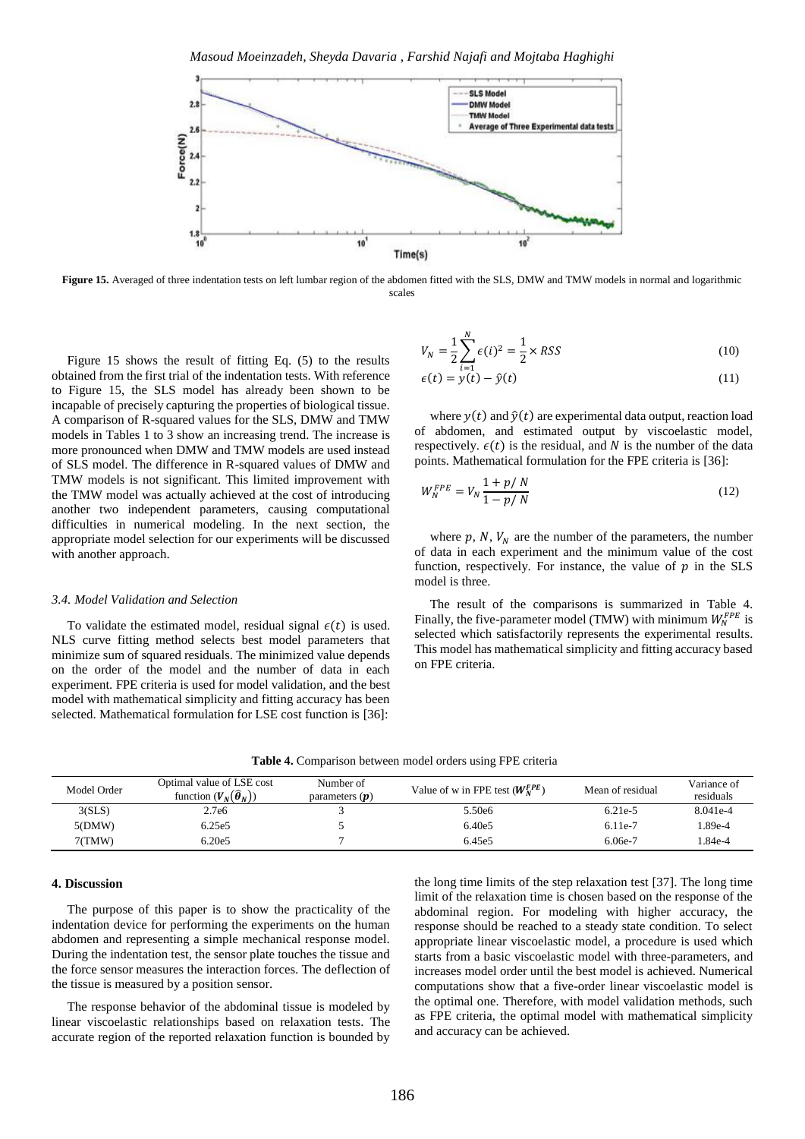*Masoud Moeinzadeh, Sheyda Davaria , Farshid Najafi and Mojtaba Haghighi*



Figure 15. Averaged of three indentation tests on left lumbar region of the abdomen fitted with the SLS, DMW and TMW models in normal and logarithmic scales

Figure 15 shows the result of fitting Eq. (5) to the results obtained from the first trial of the indentation tests. With reference to Figure 15, the SLS model has already been shown to be incapable of precisely capturing the properties of biological tissue. A comparison of R-squared values for the SLS, DMW and TMW models in Tables 1 to 3 show an increasing trend. The increase is more pronounced when DMW and TMW models are used instead of SLS model. The difference in R-squared values of DMW and TMW models is not significant. This limited improvement with the TMW model was actually achieved at the cost of introducing another two independent parameters, causing computational difficulties in numerical modeling. In the next section, the appropriate model selection for our experiments will be discussed with another approach.

#### *3.4. Model Validation and Selection*

To validate the estimated model, residual signal  $\epsilon(t)$  is used. NLS curve fitting method selects best model parameters that minimize sum of squared residuals. The minimized value depends on the order of the model and the number of data in each experiment. FPE criteria is used for model validation, and the best model with mathematical simplicity and fitting accuracy has been selected. Mathematical formulation for LSE cost function is [36]:

 $V_N = \frac{1}{2}$  $\frac{1}{2}\sum_{i} \epsilon(i)^2$ N  $i=1$  $=\frac{1}{2}$  $\frac{1}{2} \times RSS$  (10)

$$
\epsilon(t) = y(t) - \hat{y}(t) \tag{11}
$$

where  $y(t)$  and  $\hat{y}(t)$  are experimental data output, reaction load of abdomen, and estimated output by viscoelastic model, respectively.  $\epsilon(t)$  is the residual, and N is the number of the data points. Mathematical formulation for the FPE criteria is [36]:

$$
W_N^{FPE} = V_N \frac{1 + p/N}{1 - p/N}
$$
 (12)

where  $p$ ,  $N$ ,  $V_N$  are the number of the parameters, the number of data in each experiment and the minimum value of the cost function, respectively. For instance, the value of  $p$  in the SLS model is three.

The result of the comparisons is summarized in Table 4. Finally, the five-parameter model (TMW) with minimum  $W_N^{FPE}$  is selected which satisfactorily represents the experimental results. This model has mathematical simplicity and fitting accuracy based on FPE criteria.

| Table 4. Comparison between model orders using FPE criteria |  |  |  |
|-------------------------------------------------------------|--|--|--|
|-------------------------------------------------------------|--|--|--|

| Model Order | Optimal value of LSE cost<br>function $(V_N(\hat{\theta}_N))$ | Number of<br>parameters $(p)$ | Value of w in FPE test $(W_N^{FPE})$ | Mean of residual | Variance of<br>residuals |
|-------------|---------------------------------------------------------------|-------------------------------|--------------------------------------|------------------|--------------------------|
| 3(SLS)      | 2.7e6                                                         |                               | 5.50e <sub>6</sub>                   | $6.21e-5$        | 8.041e-4                 |
| 5(DMW)      | 6.25e5                                                        |                               | 6.40e5                               | 6.11e-7          | 1.89e-4                  |
| 7(TMW)      | 6.20e5                                                        |                               | 6.45e5                               | $6.06e-7$        | 1.84e-4                  |

#### **4. Discussion**

The purpose of this paper is to show the practicality of the indentation device for performing the experiments on the human abdomen and representing a simple mechanical response model. During the indentation test, the sensor plate touches the tissue and the force sensor measures the interaction forces. The deflection of the tissue is measured by a position sensor.

The response behavior of the abdominal tissue is modeled by linear viscoelastic relationships based on relaxation tests. The accurate region of the reported relaxation function is bounded by

the long time limits of the step relaxation test [37]. The long time limit of the relaxation time is chosen based on the response of the abdominal region. For modeling with higher accuracy, the response should be reached to a steady state condition. To select appropriate linear viscoelastic model, a procedure is used which starts from a basic viscoelastic model with three-parameters, and increases model order until the best model is achieved. Numerical computations show that a five-order linear viscoelastic model is the optimal one. Therefore, with model validation methods, such as FPE criteria, the optimal model with mathematical simplicity and accuracy can be achieved.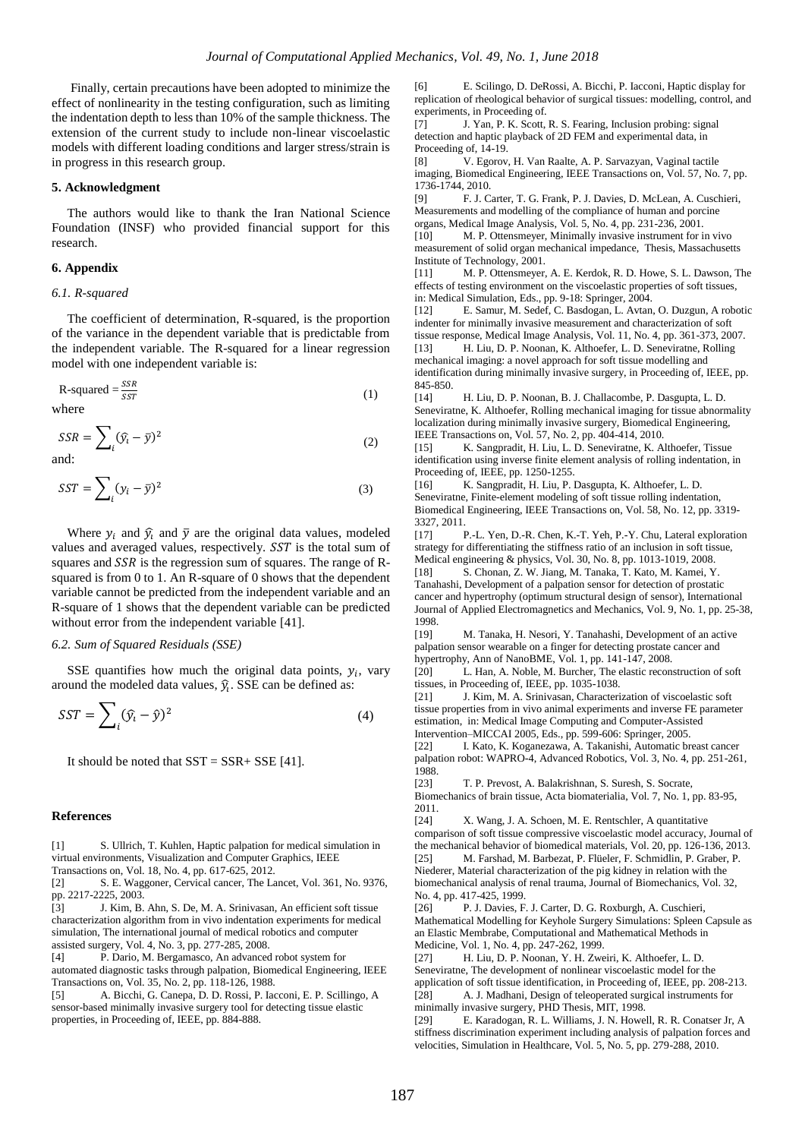Finally, certain precautions have been adopted to minimize the effect of nonlinearity in the testing configuration, such as limiting the indentation depth to less than 10% of the sample thickness. The extension of the current study to include non-linear viscoelastic models with different loading conditions and larger stress/strain is in progress in this research group.

#### **5. Acknowledgment**

The authors would like to thank the Iran National Science Foundation (INSF) who provided financial support for this research.

#### **6. Appendix**

#### *6.1. R-squared*

The coefficient of determination, R-squared, is the proportion of the variance in the dependent variable that is predictable from the independent variable. The R-squared for a linear regression model with one independent variable is:

$$
R-squared = \frac{SSR}{SST}
$$
 (1) where

$$
SSR = \sum_{i} (\hat{y}_i - \bar{y})^2
$$
 (2)

and:

$$
SST = \sum_{i} (y_i - \bar{y})^2
$$
 (3)

Where  $y_i$  and  $\hat{y}_i$  and  $\bar{y}$  are the original data values, modeled values and averaged values, respectively. SST is the total sum of squares and  $SSR$  is the regression sum of squares. The range of Rsquared is from 0 to 1. An R-square of 0 shows that the dependent variable cannot be predicted from the independent variable and an R-square of 1 shows that the dependent variable can be predicted without error from the independent variable [41].

#### *6.2. Sum of Squared Residuals (SSE)*

SSE quantifies how much the original data points,  $y_i$ , vary around the modeled data values,  $\hat{y}_i$ . SSE can be defined as:

$$
SST = \sum_{i} (\hat{y}_i - \hat{y})^2
$$
 (4)

It should be noted that  $SST = SSR + SSE$  [41].

#### **References**

[1] S. Ullrich, T. Kuhlen, Haptic palpation for medical simulation in virtual environments, Visualization and Computer Graphics, IEEE Transactions on, Vol. 18, No. 4, pp. 617-625, 2012.

[2] S. E. Waggoner, Cervical cancer, The Lancet, Vol. 361, No. 9376, pp. 2217-2225, 2003.

[3] J. Kim, B. Ahn, S. De, M. A. Srinivasan, An efficient soft tissue characterization algorithm from in vivo indentation experiments for medical simulation, The international journal of medical robotics and computer assisted surgery, Vol. 4, No. 3, pp. 277-285, 2008.

[4] P. Dario, M. Bergamasco, An advanced robot system for automated diagnostic tasks through palpation, Biomedical Engineering, IEEE Transactions on, Vol. 35, No. 2, pp. 118-126, 1988.

[5] A. Bicchi, G. Canepa, D. D. Rossi, P. Iacconi, E. P. Scillingo, A sensor-based minimally invasive surgery tool for detecting tissue elastic properties, in Proceeding of, IEEE, pp. 884-888.

[6] E. Scilingo, D. DeRossi, A. Bicchi, P. Iacconi, Haptic display for replication of rheological behavior of surgical tissues: modelling, control, and experiments, in Proceeding of.

[7] J. Yan, P. K. Scott, R. S. Fearing, Inclusion probing: signal detection and haptic playback of 2D FEM and experimental data, in Proceeding of, 14-19.

[8] V. Egorov, H. Van Raalte, A. P. Sarvazyan, Vaginal tactile imaging, Biomedical Engineering, IEEE Transactions on, Vol. 57, No. 7, pp. 1736-1744, 2010.

[9] F. J. Carter, T. G. Frank, P. J. Davies, D. McLean, A. Cuschieri, Measurements and modelling of the compliance of human and porcine

organs, Medical Image Analysis, Vol. 5, No. 4, pp. 231-236, 2001. [10] M. P. Ottensmeyer, Minimally invasive instrument for in vivo measurement of solid organ mechanical impedance, Thesis, Massachusetts

Institute of Technology, 2001. [11] M. P. Ottensmeyer, A. E. Kerdok, R. D. Howe, S. L. Dawson, The effects of testing environment on the viscoelastic properties of soft tissues, in: Medical Simulation, Eds., pp. 9-18: Springer, 2004.

[12] E. Samur, M. Sedef, C. Basdogan, L. Avtan, O. Duzgun, A robotic indenter for minimally invasive measurement and characterization of soft tissue response, Medical Image Analysis, Vol. 11, No. 4, pp. 361-373, 2007.

[13] H. Liu, D. P. Noonan, K. Althoefer, L. D. Seneviratne, Rolling mechanical imaging: a novel approach for soft tissue modelling and identification during minimally invasive surgery, in Proceeding of, IEEE, pp. 845-850.

[14] H. Liu, D. P. Noonan, B. J. Challacombe, P. Dasgupta, L. D. Seneviratne, K. Althoefer, Rolling mechanical imaging for tissue abnormality localization during minimally invasive surgery, Biomedical Engineering, IEEE Transactions on, Vol. 57, No. 2, pp. 404-414, 2010.

[15] K. Sangpradit, H. Liu, L. D. Seneviratne, K. Althoefer, Tissue identification using inverse finite element analysis of rolling indentation, in Proceeding of, IEEE, pp. 1250-1255.

[16] K. Sangpradit, H. Liu, P. Dasgupta, K. Althoefer, L. D. Seneviratne, Finite-element modeling of soft tissue rolling indentation, Biomedical Engineering, IEEE Transactions on, Vol. 58, No. 12, pp. 3319- 3327, 2011.

[17] P.-L. Yen, D.-R. Chen, K.-T. Yeh, P.-Y. Chu, Lateral exploration strategy for differentiating the stiffness ratio of an inclusion in soft tissue, Medical engineering & physics, Vol. 30, No. 8, pp. 1013-1019, 2008.

[18] S. Chonan, Z. W. Jiang, M. Tanaka, T. Kato, M. Kamei, Y. Tanahashi, Development of a palpation sensor for detection of prostatic cancer and hypertrophy (optimum structural design of sensor), International Journal of Applied Electromagnetics and Mechanics, Vol. 9, No. 1, pp. 25-38, 1998.

[19] M. Tanaka, H. Nesori, Y. Tanahashi, Development of an active palpation sensor wearable on a finger for detecting prostate cancer and hypertrophy, Ann of NanoBME, Vol. 1, pp. 141-147, 2008.

[20] L. Han, A. Noble, M. Burcher, The elastic reconstruction of soft tissues, in Proceeding of, IEEE, pp. 1035-1038.

[21] J. Kim, M. A. Srinivasan, Characterization of viscoelastic soft tissue properties from in vivo animal experiments and inverse FE parameter estimation, in: Medical Image Computing and Computer-Assisted Intervention–MICCAI 2005, Eds., pp. 599-606: Springer, 2005.

[22] I. Kato, K. Koganezawa, A. Takanishi, Automatic breast cancer palpation robot: WAPRO-4, Advanced Robotics, Vol. 3, No. 4, pp. 251-261, 1988.

[23] T. P. Prevost, A. Balakrishnan, S. Suresh, S. Socrate,

Biomechanics of brain tissue, Acta biomaterialia, Vol. 7, No. 1, pp. 83-95, 2011.

[24] X. Wang, J. A. Schoen, M. E. Rentschler, A quantitative comparison of soft tissue compressive viscoelastic model accuracy, Journal of the mechanical behavior of biomedical materials, Vol. 20, pp. 126-136, 2013. [25] M. Farshad, M. Barbezat, P. Flüeler, F. Schmidlin, P. Graber, P. Niederer, Material characterization of the pig kidney in relation with the biomechanical analysis of renal trauma, Journal of Biomechanics, Vol. 32, No. 4, pp. 417-425, 1999.

[26] P. J. Davies, F. J. Carter, D. G. Roxburgh, A. Cuschieri, Mathematical Modelling for Keyhole Surgery Simulations: Spleen Capsule as an Elastic Membrabe, Computational and Mathematical Methods in Medicine, Vol. 1, No. 4, pp. 247-262, 1999.

[27] H. Liu, D. P. Noonan, Y. H. Zweiri, K. Althoefer, L. D. Seneviratne, The development of nonlinear viscoelastic model for the application of soft tissue identification, in Proceeding of, IEEE, pp. 208-213. [28] A. J. Madhani, Design of teleoperated surgical instruments for minimally invasive surgery, PHD Thesis, MIT, 1998.

[29] E. Karadogan, R. L. Williams, J. N. Howell, R. R. Conatser Jr, A stiffness discrimination experiment including analysis of palpation forces and velocities, Simulation in Healthcare, Vol. 5, No. 5, pp. 279-288, 2010.